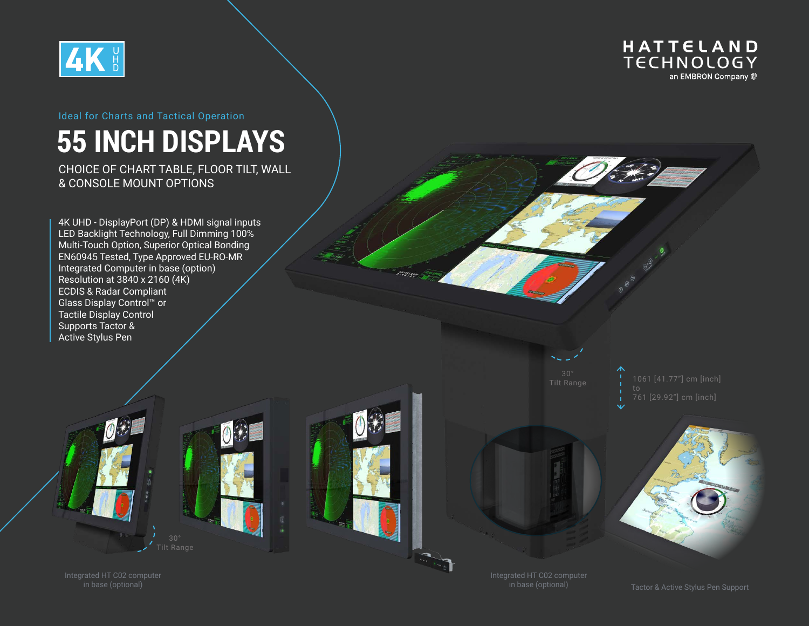



## **55 INCH DISPLAYS**

CHOICE OF CHART TABLE, FLOOR TILT, WALL & CONSOLE MOUNT OPTIONS

4K UHD - DisplayPort (DP) & HDMI signal inputs LED Backlight Technology, Full Dimming 100% Multi-Touch Option, Superior Optical Bonding EN60945 Tested, Type Approved EU-RO-MR Integrated Computer in base (option) Resolution at 3840 x 2160 (4K) ECDIS & Radar Compliant Glass Display Control™ or Tactile Display Control Supports Tactor & Active Stylus Pen

 $\theta$ 



Integrated HT C02 computer in base (optional)